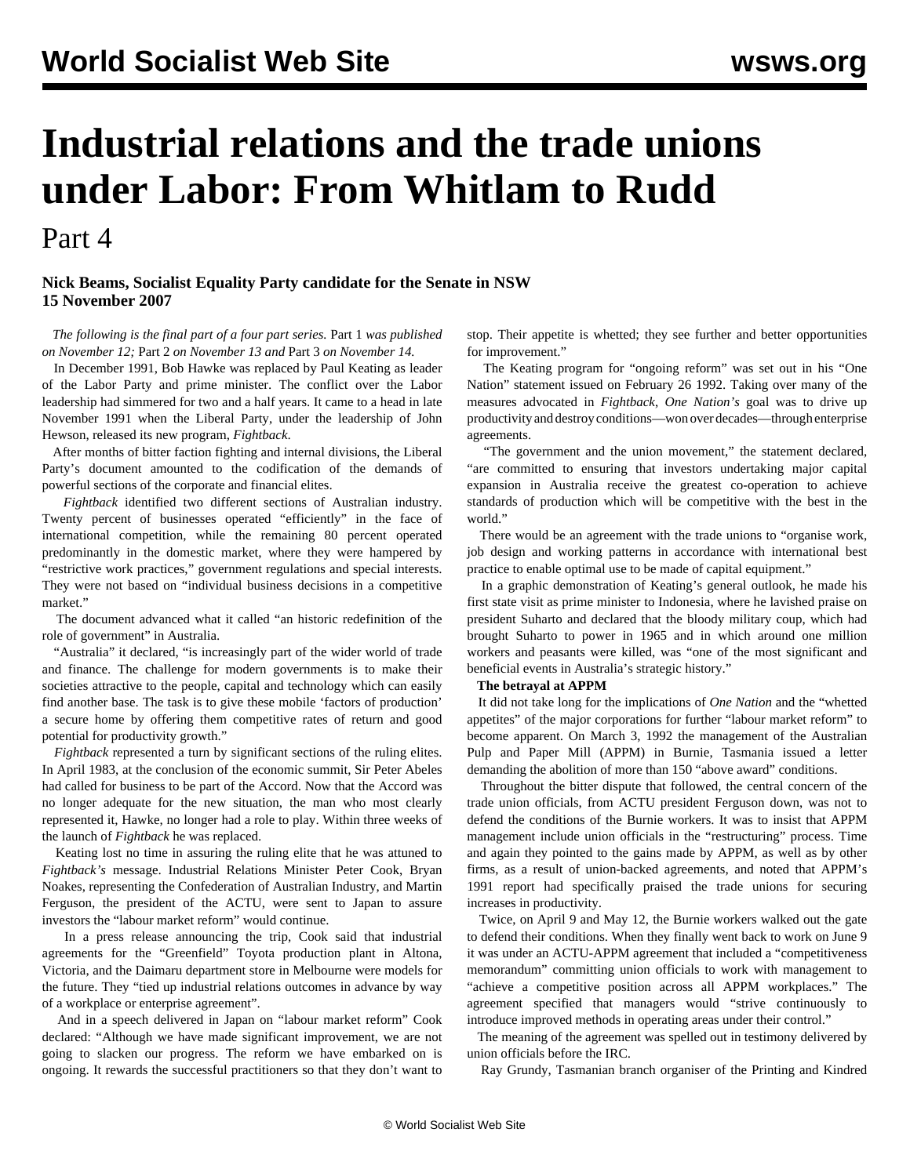# **Industrial relations and the trade unions under Labor: From Whitlam to Rudd**

Part 4

### **Nick Beams, Socialist Equality Party candidate for the Senate in NSW 15 November 2007**

 *The following is the final part of a four part series.* [Part 1](/en/articles/2007/11/lab1-n12.html) *was published on November 12;* [Part 2](/en/articles/2007/11/lab2-n13.html) *on November 13 and* [Part 3](/en/articles/2007/11/lab3-n14.html) *on November 14.*

 In December 1991, Bob Hawke was replaced by Paul Keating as leader of the Labor Party and prime minister. The conflict over the Labor leadership had simmered for two and a half years. It came to a head in late November 1991 when the Liberal Party, under the leadership of John Hewson, released its new program, *Fightback*.

 After months of bitter faction fighting and internal divisions, the Liberal Party's document amounted to the codification of the demands of powerful sections of the corporate and financial elites.

 *Fightback* identified two different sections of Australian industry. Twenty percent of businesses operated "efficiently" in the face of international competition, while the remaining 80 percent operated predominantly in the domestic market, where they were hampered by "restrictive work practices," government regulations and special interests. They were not based on "individual business decisions in a competitive market."

 The document advanced what it called "an historic redefinition of the role of government" in Australia.

 "Australia" it declared, "is increasingly part of the wider world of trade and finance. The challenge for modern governments is to make their societies attractive to the people, capital and technology which can easily find another base. The task is to give these mobile 'factors of production' a secure home by offering them competitive rates of return and good potential for productivity growth."

 *Fightback* represented a turn by significant sections of the ruling elites. In April 1983, at the conclusion of the economic summit, Sir Peter Abeles had called for business to be part of the Accord. Now that the Accord was no longer adequate for the new situation, the man who most clearly represented it, Hawke, no longer had a role to play. Within three weeks of the launch of *Fightback* he was replaced.

 Keating lost no time in assuring the ruling elite that he was attuned to *Fightback's* message. Industrial Relations Minister Peter Cook, Bryan Noakes, representing the Confederation of Australian Industry, and Martin Ferguson, the president of the ACTU, were sent to Japan to assure investors the "labour market reform" would continue.

 In a press release announcing the trip, Cook said that industrial agreements for the "Greenfield" Toyota production plant in Altona, Victoria, and the Daimaru department store in Melbourne were models for the future. They "tied up industrial relations outcomes in advance by way of a workplace or enterprise agreement".

 And in a speech delivered in Japan on "labour market reform" Cook declared: "Although we have made significant improvement, we are not going to slacken our progress. The reform we have embarked on is ongoing. It rewards the successful practitioners so that they don't want to stop. Their appetite is whetted; they see further and better opportunities for improvement."

 The Keating program for "ongoing reform" was set out in his "One Nation" statement issued on February 26 1992. Taking over many of the measures advocated in *Fightback*, *One Nation's* goal was to drive up productivity and destroy conditions—won over decades—through enterprise agreements.

 "The government and the union movement," the statement declared, "are committed to ensuring that investors undertaking major capital expansion in Australia receive the greatest co-operation to achieve standards of production which will be competitive with the best in the world."

 There would be an agreement with the trade unions to "organise work, job design and working patterns in accordance with international best practice to enable optimal use to be made of capital equipment."

 In a graphic demonstration of Keating's general outlook, he made his first state visit as prime minister to Indonesia, where he lavished praise on president Suharto and declared that the bloody military coup, which had brought Suharto to power in 1965 and in which around one million workers and peasants were killed, was "one of the most significant and beneficial events in Australia's strategic history."

#### **The betrayal at APPM**

 It did not take long for the implications of *One Nation* and the "whetted appetites" of the major corporations for further "labour market reform" to become apparent. On March 3, 1992 the management of the Australian Pulp and Paper Mill (APPM) in Burnie, Tasmania issued a letter demanding the abolition of more than 150 "above award" conditions.

 Throughout the bitter dispute that followed, the central concern of the trade union officials, from ACTU president Ferguson down, was not to defend the conditions of the Burnie workers. It was to insist that APPM management include union officials in the "restructuring" process. Time and again they pointed to the gains made by APPM, as well as by other firms, as a result of union-backed agreements, and noted that APPM's 1991 report had specifically praised the trade unions for securing increases in productivity.

 Twice, on April 9 and May 12, the Burnie workers walked out the gate to defend their conditions. When they finally went back to work on June 9 it was under an ACTU-APPM agreement that included a "competitiveness memorandum" committing union officials to work with management to "achieve a competitive position across all APPM workplaces." The agreement specified that managers would "strive continuously to introduce improved methods in operating areas under their control."

 The meaning of the agreement was spelled out in testimony delivered by union officials before the IRC.

Ray Grundy, Tasmanian branch organiser of the Printing and Kindred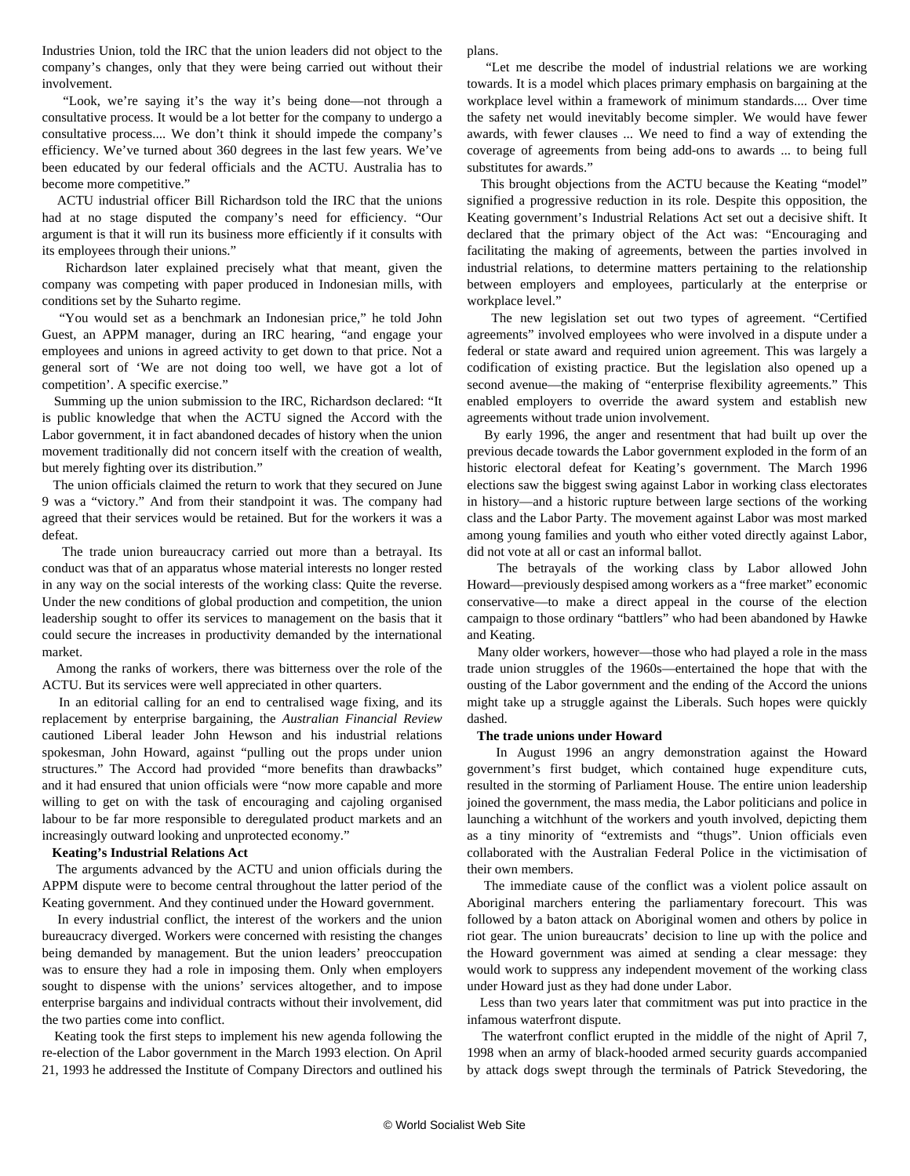Industries Union, told the IRC that the union leaders did not object to the company's changes, only that they were being carried out without their involvement.

 "Look, we're saying it's the way it's being done—not through a consultative process. It would be a lot better for the company to undergo a consultative process.... We don't think it should impede the company's efficiency. We've turned about 360 degrees in the last few years. We've been educated by our federal officials and the ACTU. Australia has to become more competitive."

 ACTU industrial officer Bill Richardson told the IRC that the unions had at no stage disputed the company's need for efficiency. "Our argument is that it will run its business more efficiently if it consults with its employees through their unions."

 Richardson later explained precisely what that meant, given the company was competing with paper produced in Indonesian mills, with conditions set by the Suharto regime.

 "You would set as a benchmark an Indonesian price," he told John Guest, an APPM manager, during an IRC hearing, "and engage your employees and unions in agreed activity to get down to that price. Not a general sort of 'We are not doing too well, we have got a lot of competition'. A specific exercise."

 Summing up the union submission to the IRC, Richardson declared: "It is public knowledge that when the ACTU signed the Accord with the Labor government, it in fact abandoned decades of history when the union movement traditionally did not concern itself with the creation of wealth, but merely fighting over its distribution."

 The union officials claimed the return to work that they secured on June 9 was a "victory." And from their standpoint it was. The company had agreed that their services would be retained. But for the workers it was a defeat.

 The trade union bureaucracy carried out more than a betrayal. Its conduct was that of an apparatus whose material interests no longer rested in any way on the social interests of the working class: Quite the reverse. Under the new conditions of global production and competition, the union leadership sought to offer its services to management on the basis that it could secure the increases in productivity demanded by the international market.

 Among the ranks of workers, there was bitterness over the role of the ACTU. But its services were well appreciated in other quarters.

 In an editorial calling for an end to centralised wage fixing, and its replacement by enterprise bargaining, the *Australian Financial Review* cautioned Liberal leader John Hewson and his industrial relations spokesman, John Howard, against "pulling out the props under union structures." The Accord had provided "more benefits than drawbacks" and it had ensured that union officials were "now more capable and more willing to get on with the task of encouraging and cajoling organised labour to be far more responsible to deregulated product markets and an increasingly outward looking and unprotected economy."

#### **Keating's Industrial Relations Act**

 The arguments advanced by the ACTU and union officials during the APPM dispute were to become central throughout the latter period of the Keating government. And they continued under the Howard government.

 In every industrial conflict, the interest of the workers and the union bureaucracy diverged. Workers were concerned with resisting the changes being demanded by management. But the union leaders' preoccupation was to ensure they had a role in imposing them. Only when employers sought to dispense with the unions' services altogether, and to impose enterprise bargains and individual contracts without their involvement, did the two parties come into conflict.

 Keating took the first steps to implement his new agenda following the re-election of the Labor government in the March 1993 election. On April 21, 1993 he addressed the Institute of Company Directors and outlined his

plans.

 "Let me describe the model of industrial relations we are working towards. It is a model which places primary emphasis on bargaining at the workplace level within a framework of minimum standards.... Over time the safety net would inevitably become simpler. We would have fewer awards, with fewer clauses ... We need to find a way of extending the coverage of agreements from being add-ons to awards ... to being full substitutes for awards."

 This brought objections from the ACTU because the Keating "model" signified a progressive reduction in its role. Despite this opposition, the Keating government's Industrial Relations Act set out a decisive shift. It declared that the primary object of the Act was: "Encouraging and facilitating the making of agreements, between the parties involved in industrial relations, to determine matters pertaining to the relationship between employers and employees, particularly at the enterprise or workplace level."

 The new legislation set out two types of agreement. "Certified agreements" involved employees who were involved in a dispute under a federal or state award and required union agreement. This was largely a codification of existing practice. But the legislation also opened up a second avenue—the making of "enterprise flexibility agreements." This enabled employers to override the award system and establish new agreements without trade union involvement.

 By early 1996, the anger and resentment that had built up over the previous decade towards the Labor government exploded in the form of an historic electoral defeat for Keating's government. The March 1996 elections saw the biggest swing against Labor in working class electorates in history—and a historic rupture between large sections of the working class and the Labor Party. The movement against Labor was most marked among young families and youth who either voted directly against Labor, did not vote at all or cast an informal ballot.

 The betrayals of the working class by Labor allowed John Howard—previously despised among workers as a "free market" economic conservative—to make a direct appeal in the course of the election campaign to those ordinary "battlers" who had been abandoned by Hawke and Keating.

 Many older workers, however—those who had played a role in the mass trade union struggles of the 1960s—entertained the hope that with the ousting of the Labor government and the ending of the Accord the unions might take up a struggle against the Liberals. Such hopes were quickly dashed.

#### **The trade unions under Howard**

 In August 1996 an angry demonstration against the Howard government's first budget, which contained huge expenditure cuts, resulted in the storming of Parliament House. The entire union leadership joined the government, the mass media, the Labor politicians and police in launching a witchhunt of the workers and youth involved, depicting them as a tiny minority of "extremists and "thugs". Union officials even collaborated with the Australian Federal Police in the victimisation of their own members.

 The immediate cause of the conflict was a violent police assault on Aboriginal marchers entering the parliamentary forecourt. This was followed by a baton attack on Aboriginal women and others by police in riot gear. The union bureaucrats' decision to line up with the police and the Howard government was aimed at sending a clear message: they would work to suppress any independent movement of the working class under Howard just as they had done under Labor.

 Less than two years later that commitment was put into practice in the infamous waterfront dispute.

 The waterfront conflict erupted in the middle of the night of April 7, 1998 when an army of black-hooded armed security guards accompanied by attack dogs swept through the terminals of Patrick Stevedoring, the